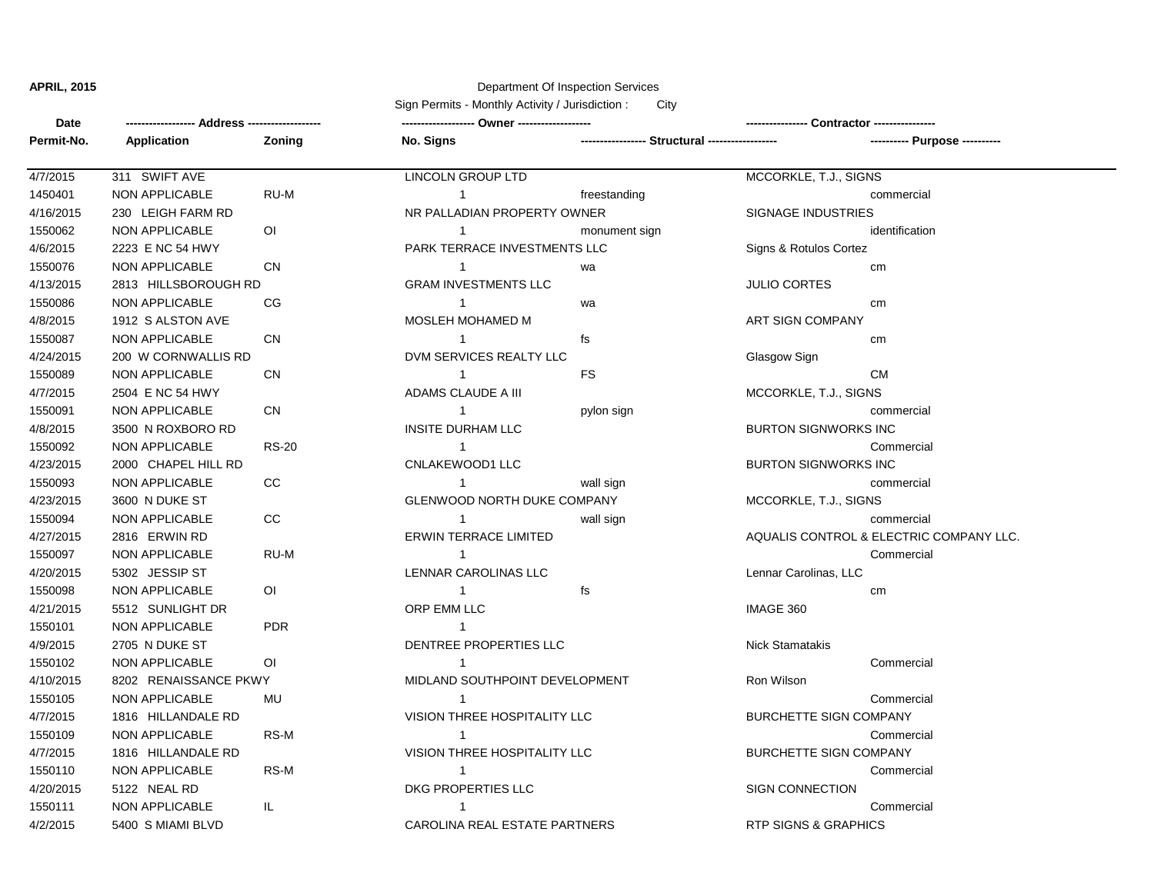## **APRIL, 2015** Department Of Inspection Services

Sign Permits - Monthly Activity / Jurisdiction : City

| Date       |                       |                |                                |               |                                 |                                         |
|------------|-----------------------|----------------|--------------------------------|---------------|---------------------------------|-----------------------------------------|
| Permit-No. | <b>Application</b>    | Zoning         | No. Signs                      |               |                                 |                                         |
| 4/7/2015   | 311 SWIFT AVE         |                | <b>LINCOLN GROUP LTD</b>       |               | MCCORKLE, T.J., SIGNS           |                                         |
| 1450401    | NON APPLICABLE        | RU-M           | $\mathbf{1}$                   | freestanding  |                                 | commercial                              |
| 4/16/2015  | 230 LEIGH FARM RD     |                | NR PALLADIAN PROPERTY OWNER    |               | <b>SIGNAGE INDUSTRIES</b>       |                                         |
| 1550062    | NON APPLICABLE        | $\overline{O}$ | $\mathbf 1$                    | monument sign |                                 | identification                          |
| 4/6/2015   | 2223 E NC 54 HWY      |                | PARK TERRACE INVESTMENTS LLC   |               | Signs & Rotulos Cortez          |                                         |
| 1550076    | NON APPLICABLE        | <b>CN</b>      | $\mathbf 1$                    | wa            |                                 | cm                                      |
| 4/13/2015  | 2813 HILLSBOROUGH RD  |                | <b>GRAM INVESTMENTS LLC</b>    |               | <b>JULIO CORTES</b>             |                                         |
| 1550086    | NON APPLICABLE        | CG             | $\mathbf{1}$                   | wa            |                                 | cm                                      |
| 4/8/2015   | 1912 S ALSTON AVE     |                | MOSLEH MOHAMED M               |               | ART SIGN COMPANY                |                                         |
| 1550087    | NON APPLICABLE        | <b>CN</b>      | $\mathbf{1}$                   | fs            |                                 | cm                                      |
| 4/24/2015  | 200 W CORNWALLIS RD   |                | DVM SERVICES REALTY LLC        |               | Glasgow Sign                    |                                         |
| 1550089    | NON APPLICABLE        | CN             | $\mathbf{1}$                   | <b>FS</b>     |                                 | <b>CM</b>                               |
| 4/7/2015   | 2504 E NC 54 HWY      |                | ADAMS CLAUDE A III             |               | MCCORKLE, T.J., SIGNS           |                                         |
| 1550091    | NON APPLICABLE        | <b>CN</b>      | $\mathbf{1}$                   | pylon sign    |                                 | commercial                              |
| 4/8/2015   | 3500 N ROXBORO RD     |                | INSITE DURHAM LLC              |               | <b>BURTON SIGNWORKS INC</b>     |                                         |
| 1550092    | NON APPLICABLE        | <b>RS-20</b>   | $\overline{1}$                 |               |                                 | Commercial                              |
| 4/23/2015  | 2000 CHAPEL HILL RD   |                | CNLAKEWOOD1 LLC                |               | <b>BURTON SIGNWORKS INC</b>     |                                         |
| 1550093    | NON APPLICABLE        | CC             | $\mathbf{1}$                   | wall sign     |                                 | commercial                              |
| 4/23/2015  | 3600 N DUKE ST        |                | GLENWOOD NORTH DUKE COMPANY    |               | MCCORKLE, T.J., SIGNS           |                                         |
| 1550094    | NON APPLICABLE        | $_{\rm CC}$    | $\mathbf 1$                    | wall sign     |                                 | commercial                              |
| 4/27/2015  | 2816 ERWIN RD         |                | <b>ERWIN TERRACE LIMITED</b>   |               |                                 | AQUALIS CONTROL & ELECTRIC COMPANY LLC. |
| 1550097    | NON APPLICABLE        | RU-M           | $\mathbf{1}$                   |               |                                 | Commercial                              |
| 4/20/2015  | 5302 JESSIP ST        |                | LENNAR CAROLINAS LLC           |               | Lennar Carolinas, LLC           |                                         |
| 1550098    | NON APPLICABLE        | 0I             | $\mathbf{1}$                   | fs            |                                 | cm                                      |
| 4/21/2015  | 5512 SUNLIGHT DR      |                | ORP EMM LLC                    |               | IMAGE 360                       |                                         |
| 1550101    | NON APPLICABLE        | <b>PDR</b>     | $\mathbf{1}$                   |               |                                 |                                         |
| 4/9/2015   | 2705 N DUKE ST        |                | DENTREE PROPERTIES LLC         |               | <b>Nick Stamatakis</b>          |                                         |
| 1550102    | NON APPLICABLE        | $\overline{O}$ | -1                             |               |                                 | Commercial                              |
| 4/10/2015  | 8202 RENAISSANCE PKWY |                | MIDLAND SOUTHPOINT DEVELOPMENT |               | Ron Wilson                      |                                         |
| 1550105    | NON APPLICABLE        | MU             |                                |               |                                 | Commercial                              |
| 4/7/2015   | 1816 HILLANDALE RD    |                | VISION THREE HOSPITALITY LLC   |               | <b>BURCHETTE SIGN COMPANY</b>   |                                         |
| 1550109    | <b>NON APPLICABLE</b> | RS-M           | $\overline{1}$                 |               |                                 | Commercial                              |
| 4/7/2015   | 1816 HILLANDALE RD    |                | VISION THREE HOSPITALITY LLC   |               | <b>BURCHETTE SIGN COMPANY</b>   |                                         |
| 1550110    | NON APPLICABLE        | RS-M           | $\mathbf{1}$                   |               |                                 | Commercial                              |
| 4/20/2015  | 5122 NEAL RD          |                | DKG PROPERTIES LLC             |               | <b>SIGN CONNECTION</b>          |                                         |
| 1550111    | NON APPLICABLE        | IL.            | $\mathbf 1$                    |               |                                 | Commercial                              |
| 4/2/2015   | 5400 S MIAMI BLVD     |                | CAROLINA REAL ESTATE PARTNERS  |               | <b>RTP SIGNS &amp; GRAPHICS</b> |                                         |